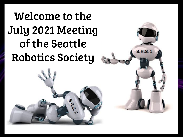## Welcome to the [July 2021 Meeting](https://docs.google.com/presentation/d/e/2PACX-1vTkjxNewKsl8ojadBrtfDtKoLIkrXDNheAOb7saK0SUVixvSVhyhOh3tOC1-byQ0mkdPIvwPK18ka7i/pub?start=true&loop=true&delayms=12000)  of the Seattle Robotics Society



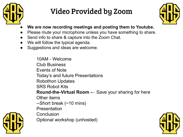

#### Video Provided by Zoom



- **● We are now recording meetings and posting them to Youtube.**
- Please mute your microphone unless you have something to share.
- Send info to share & capture into the Zoom Chat.
- We will follow the typical agenda.
- Suggestions and ideas are welcome.

10AM - Welcome Club Business Events of Note Today's and future Presentations Robothon Updates SRS Robot Kits **Round-the-Virtual Room ←** Save your sharing for here Other items --Short break (~10 mins) Presentation **Conclusion** Optional workshop (unhosted)



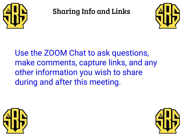

Sharing Info and Links



Use the ZOOM Chat to ask questions, make comments, capture links, and any other information you wish to share during and after this meeting.



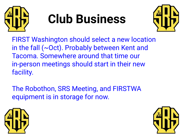

# **Club Business**



FIRST Washington should select a new location in the fall (~Oct). Probably between Kent and Tacoma. Somewhere around that time our in-person meetings should start in their new facility.

The Robothon, SRS Meeting, and FIRSTWA equipment is in storage for now.



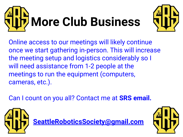



Online access to our meetings will likely continue once we start gathering in-person. This will increase the meeting setup and logistics considerably so I will need assistance from 1-2 people at the meetings to run the equipment (computers, cameras, etc.).

Can I count on you all? Contact me at **SRS email.**



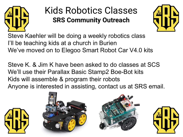

#### Kids Robotics Classes **SRS Community Outreach**



Steve Kaehler will be doing a weekly robotics class I'll be teaching kids at a church in Burien We've moved on to Elegoo Smart Robot Car V4.0 kits

Steve K. & Jim K have been asked to do classes at SCS We'll use their Parallax Basic Stamp2 Boe-Bot kits Kids will assemble & program their robots Anyone is interested in assisting, contact us at SRS email.







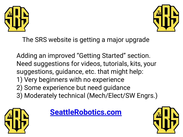



The SRS website is getting a major upgrade

Adding an improved "Getting Started" section. Need suggestions for videos, tutorials, kits, your suggestions, guidance, etc. that might help: 1) Very beginners with no experience 2) Some experience but need guidance 3) Moderately technical (Mech/Elect/SW Engrs.)





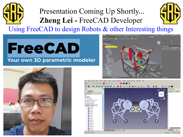#### Presentation Coming Up Shortly... **Zheng Lei -** FreeCAD Developer Using FreeCAD to design Robots & other Interesting things

### **FreeCAD** Your own 3D parametric modeler





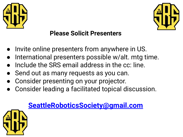



#### **Please Solicit Presenters**

- Invite online presenters from anywhere in US.
- International presenters possible w/alt. mtg time.
- Include the SRS email address in the cc: line.
- Send out as many requests as you can.
- Consider presenting on your projector.
- Consider leading a facilitated topical discussion.

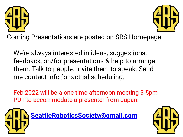



Coming Presentations are posted on SRS Homepage

We're always interested in ideas, suggestions, feedback, on/for presentations & help to arrange them. Talk to people. Invite them to speak. Send me contact info for actual scheduling.

Feb 2022 will be a one-time afternoon meeting 3-5pm PDT to accommodate a presenter from Japan.



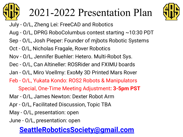

## 2021-2022 Presentation Plan



- July O/L, Zheng Lei: FreeCAD and Robotics
- Aug O/L, DPRG RoboColumbus contest starting ~10:30 PDT
- Sep O/L, Josh Pieper: Founder of mjbots Robotic Systems
- Oct O/L, Nicholas Fragale, Rover Robotics
- Nov O/L, Jennifer Buehler: Hetero. Multi-Robot Sys.
- Dec O/L, Can Altineller: ROSRider and FXIMU boards
- Jan O/L, Miro Voellmy: ExoMy 3D Printed Mars Rover
- Feb O/L, Yukata Kondo: ROS2 Robots & Manipulators
	- Special, One-Time Meeting Adjustment**: 3-5pm PST**
- Mar O/L, James Newton: Dexter Robot Arm
- Apr O/L, Facilitated Discussion, Topic TBA
- May O/L, presentation: open
- June O/L, presentation: open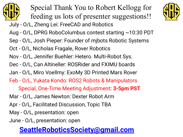

Special Thank You to Robert Kellogg for feeding us lots of presenter suggestions!!



- Aug O/L, DPRG RoboColumbus contest starting ~10:30 PDT
- Sep O/L, Josh Pieper: Founder of mjbots Robotic Systems
- Oct O/L, Nicholas Fragale, Rover Robotics
- Nov O/L, Jennifer Buehler: Hetero. Multi-Robot Sys.
- Dec O/L, Can Altineller: ROSRider and FXIMU boards
- Jan O/L, Miro Voellmy: ExoMy 3D Printed Mars Rover
- Feb O/L, Yukata Kondo: ROS2 Robots & Manipulators
	- Special, One-Time Meeting Adjustment**: 3-5pm PST**
- Mar O/L, James Newton: Dexter Robot Arm
- Apr O/L, Facilitated Discussion, Topic TBA
- May O/L, presentation: open
- June O/L, presentation: open

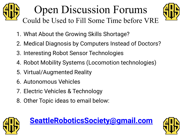### Open Discussion Forums Could be Used to Fill Some Time before VRE



- 1. What About the Growing Skills Shortage?
- 2. Medical Diagnosis by Computers Instead of Doctors?
- 3. Interesting Robot Sensor Technologies
- 4. Robot Mobility Systems (Locomotion technologies)
- 5. Virtual/Augmented Reality
- 6. Autonomous Vehicles
- 7. Electric Vehicles & Technology
- 8. Other Topic ideas to email below:





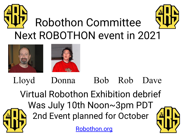





 Lloyd Donna Bob Rob Dave Virtual Robothon Exhibition debrief Was July 10th Noon~3pm PDT 2nd Event planned for October

[Robothon.org](http://www.robothon.org)

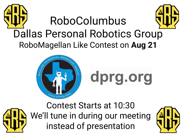



**[dprg.org](https://www.dprg.org/)**



Contest Starts at 10:30 We'll tune in during our meeting instead of presentation

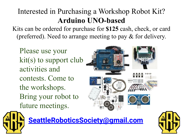#### Interested in Purchasing a Workshop Robot Kit? **Arduino UNO-based**

Kits can be ordered for purchase for **\$125** cash, check, or card (preferred). Need to arrange meeting to pay & for delivery.

Please use your kit(s) to support club activities and contests. Come to the workshops. Bring your robot to future meetings.





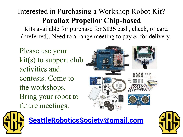#### Interested in Purchasing a Workshop Robot Kit? **Parallax Propellor Chip-based**

Kits available for purchase for **\$135** cash, check, or card (preferred). Need to arrange meeting to pay & for delivery.

Please use your  $kit(s)$  to support club activities and contests. Come to the workshops. Bring your robot to future meetings.





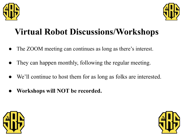



### **Virtual Robot Discussions/Workshops**

- The ZOOM meeting can continues as long as there's interest.
- They can happen monthly, following the regular meeting.
- We'll continue to host them for as long as folks are interested.
- **Workshops will NOT be recorded.**



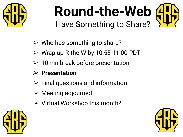

## **Round-the-Web** Have Something to Share?



- $\triangleright$  Who has something to share?
- $\triangleright$  Wrap up R-the-W by 10:55-11:00 PDT
- $\geq 10$ min break before presentation

#### ➢ **Presentation**

- $\triangleright$  Final questions and information
- $\triangleright$  Meeting adjourned
- $\triangleright$  Virtual Workshop this month?



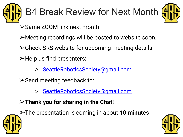



➢Same ZOOM link next month

➢Meeting recordings will be posted to website soon.

 $\triangleright$  Check SRS website for upcoming meeting details

➢Help us find presenters:

○ [SeattleRoboticsSociety@gmail.com](mailto:SeattleRoboticsSociety@gmail.com)

➢Send meeting feedback to:

○ [SeattleRoboticsSociety@gmail.com](mailto:SeattleRoboticsSociety@gmail.com)

➢**Thank you for sharing in the Chat!**



➢The presentation is coming in about **10 minutes**